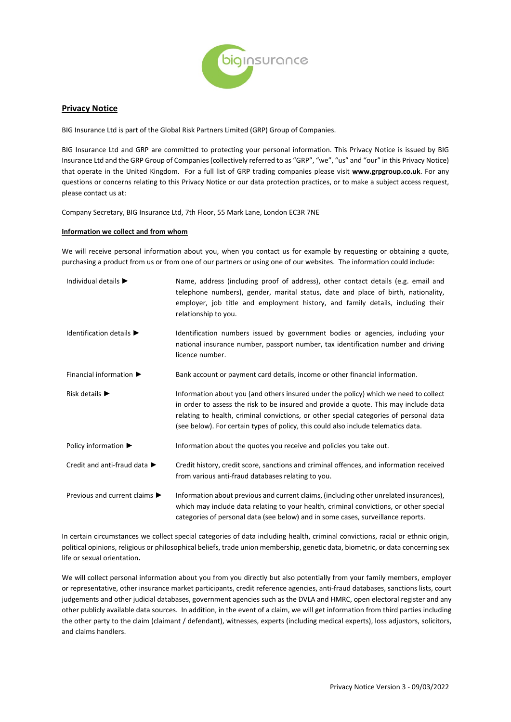

# **Privacy Notice**

BIG Insurance Ltd is part of the Global Risk Partners Limited (GRP) Group of Companies.

BIG Insurance Ltd and GRP are committed to protecting your personal information. This Privacy Notice is issued by BIG Insurance Ltd and the GRP Group of Companies (collectively referred to as "GRP", "we", "us" and "our" in this Privacy Notice) that operate in the United Kingdom. For a full list of GRP trading companies please visit **[www.grpgroup.co.uk](http://www.grpgroup.co.uk/)**. For any questions or concerns relating to this Privacy Notice or our data protection practices, or to make a subject access request, please contact us at:

Company Secretary, BIG Insurance Ltd, 7th Floor, 55 Mark Lane, London EC3R 7NE

# **Information we collect and from whom**

We will receive personal information about you, when you contact us for example by requesting or obtaining a quote, purchasing a product from us or from one of our partners or using one of our websites. The information could include:

| Individual details $\blacktriangleright$          | Name, address (including proof of address), other contact details (e.g. email and<br>telephone numbers), gender, marital status, date and place of birth, nationality,<br>employer, job title and employment history, and family details, including their<br>relationship to you.                                                                            |
|---------------------------------------------------|--------------------------------------------------------------------------------------------------------------------------------------------------------------------------------------------------------------------------------------------------------------------------------------------------------------------------------------------------------------|
| Identification details $\blacktriangleright$      | Identification numbers issued by government bodies or agencies, including your<br>national insurance number, passport number, tax identification number and driving<br>licence number.                                                                                                                                                                       |
| Financial information $\blacktriangleright$       | Bank account or payment card details, income or other financial information.                                                                                                                                                                                                                                                                                 |
| Risk details $\blacktriangleright$                | Information about you (and others insured under the policy) which we need to collect<br>in order to assess the risk to be insured and provide a quote. This may include data<br>relating to health, criminal convictions, or other special categories of personal data<br>(see below). For certain types of policy, this could also include telematics data. |
| Policy information $\blacktriangleright$          | Information about the quotes you receive and policies you take out.                                                                                                                                                                                                                                                                                          |
| Credit and anti-fraud data ▶                      | Credit history, credit score, sanctions and criminal offences, and information received<br>from various anti-fraud databases relating to you.                                                                                                                                                                                                                |
| Previous and current claims $\blacktriangleright$ | Information about previous and current claims, (including other unrelated insurances),<br>which may include data relating to your health, criminal convictions, or other special<br>categories of personal data (see below) and in some cases, surveillance reports.                                                                                         |

In certain circumstances we collect special categories of data including health, criminal convictions, racial or ethnic origin, political opinions, religious or philosophical beliefs, trade union membership, genetic data, biometric, or data concerning sex life or sexual orientation**.** 

We will collect personal information about you from you directly but also potentially from your family members, employer or representative, other insurance market participants, credit reference agencies, anti-fraud databases, sanctions lists, court judgements and other judicial databases, government agencies such as the DVLA and HMRC, open electoral register and any other publicly available data sources. In addition, in the event of a claim, we will get information from third parties including the other party to the claim (claimant / defendant), witnesses, experts (including medical experts), loss adjustors, solicitors, and claims handlers.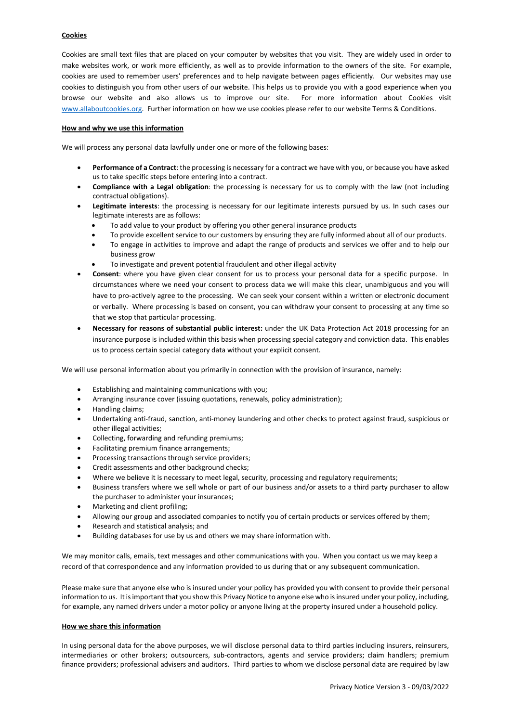# **Cookies**

Cookies are small text files that are placed on your computer by websites that you visit. They are widely used in order to make websites work, or work more efficiently, as well as to provide information to the owners of the site. For example, cookies are used to remember users' preferences and to help navigate between pages efficiently. Our websites may use cookies to distinguish you from other users of our website. This helps us to provide you with a good experience when you browse our website and also allows us to improve our site. For more information about Cookies visit [www.allaboutcookies.org.](http://www.allaboutcookies.org/) Further information on how we use cookies please refer to our website Terms & Conditions.

#### **How and why we use this information**

We will process any personal data lawfully under one or more of the following bases:

- **Performance of a Contract**: the processing is necessary for a contract we have with you, or because you have asked us to take specific steps before entering into a contract.
- **Compliance with a Legal obligation**: the processing is necessary for us to comply with the law (not including contractual obligations).
- **Legitimate interests**: the processing is necessary for our legitimate interests pursued by us. In such cases our legitimate interests are as follows:
	- To add value to your product by offering you other general insurance products
	- To provide excellent service to our customers by ensuring they are fully informed about all of our products.
	- To engage in activities to improve and adapt the range of products and services we offer and to help our business grow
	- To investigate and prevent potential fraudulent and other illegal activity
- **Consent**: where you have given clear consent for us to process your personal data for a specific purpose. In circumstances where we need your consent to process data we will make this clear, unambiguous and you will have to pro-actively agree to the processing. We can seek your consent within a written or electronic document or verbally. Where processing is based on consent, you can withdraw your consent to processing at any time so that we stop that particular processing.
- **Necessary for reasons of substantial public interest:** under the UK Data Protection Act 2018 processing for an insurance purpose is included within this basis when processing special category and conviction data. This enables us to process certain special category data without your explicit consent.

We will use personal information about you primarily in connection with the provision of insurance, namely:

- Establishing and maintaining communications with you;
- Arranging insurance cover (issuing quotations, renewals, policy administration);
- Handling claims;
- Undertaking anti-fraud, sanction, anti-money laundering and other checks to protect against fraud, suspicious or other illegal activities;
- Collecting, forwarding and refunding premiums;
- Facilitating premium finance arrangements;
- Processing transactions through service providers;
- Credit assessments and other background checks;
- Where we believe it is necessary to meet legal, security, processing and regulatory requirements;
- Business transfers where we sell whole or part of our business and/or assets to a third party purchaser to allow the purchaser to administer your insurances;
- Marketing and client profiling;
- Allowing our group and associated companies to notify you of certain products or services offered by them;
- Research and statistical analysis; and
- Building databases for use by us and others we may share information with.

We may monitor calls, emails, text messages and other communications with you. When you contact us we may keep a record of that correspondence and any information provided to us during that or any subsequent communication.

Please make sure that anyone else who is insured under your policy has provided you with consent to provide their personal information to us. It is important that you show this Privacy Notice to anyone else who is insured under your policy, including, for example, any named drivers under a motor policy or anyone living at the property insured under a household policy.

## **How we share this information**

In using personal data for the above purposes, we will disclose personal data to third parties including insurers, reinsurers, intermediaries or other brokers; outsourcers, sub-contractors, agents and service providers; claim handlers; premium finance providers; professional advisers and auditors. Third parties to whom we disclose personal data are required by law